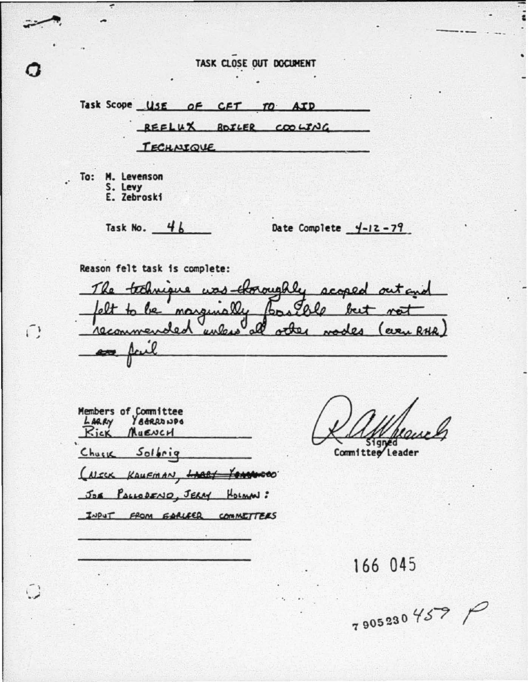# TASK CLOSE OUT DOCUMENT

Task Scope USE OF CFT TO **AID** REFLUX BOILER COOLING TECHNIQUE To: M. Levenson S. Levy E. Zebroski Task No. 46 Date Complete  $4-12-79$ Reason felt task is complete: The technique was throughly scoped out and marginal ٥. lo beit othe **RHA** commen Lo.  $\boldsymbol{u}$ (even  $\overline{a}$ 235 Members of Committee<br>LARRY YateRawDe LARRY Rick MUENCH 51 gned

Committee Leader

(NECK KAUFMAN, LARRY YEARINGEO) JOE PALLODENIO, JERRY HOLMN:

Churk Solbrig

 $\bigcap$ 

INPUT FROM GARLEER COMMETTERS

166 045

7905230 457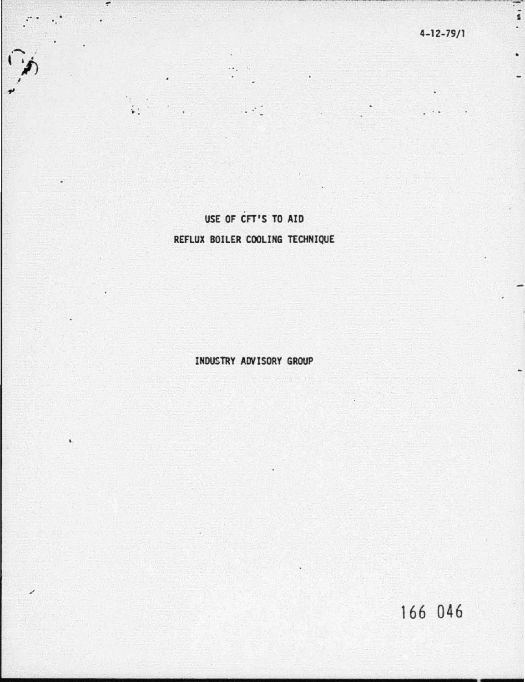$\frac{1}{2}$ 

 $\ddot{\phantom{0}}$ 

# USE OF CFT'S TO AID

 $\bullet$ 

 $\ddot{\ddot{\bullet}}$  :

# REFLUX BOILER COOLING TECHNIQUE

INDUSTRY ADVISORY GROUP

166 046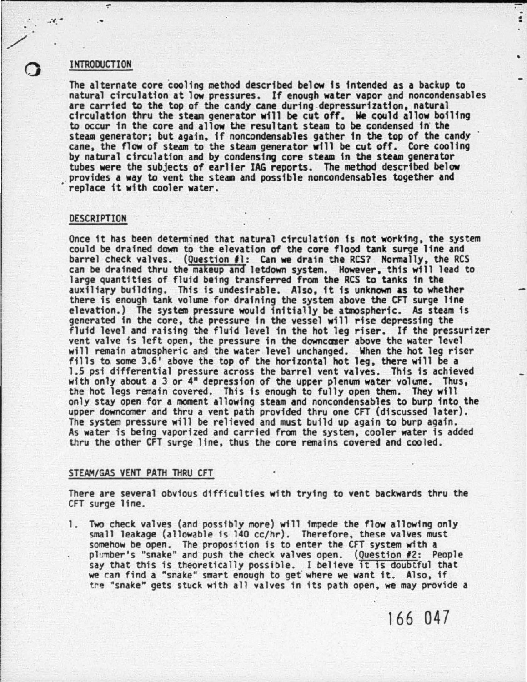## **INTRODUCTION**

 $x^2 - x$ 

/

 $\circ$ 

The alternate core cooling method described below is intended as a backup to natural circulation at low pressures. If enough water vapor and noncondensables are carried to the top of the candy cane during depressurization, natural circulation thru the steam generator will be cut off. We could allow boiling to occur tn the core and allow the resultant steam to be condensed 1n the steam generator; but again, if noncondensables gather in the top of the candy cane, the flow of steam to the steam generator will be cut off. Core cooling<br>by natural circulation and by condensing core steam in the steam generator<br>tubes were the subjects of earlier IAG reports. The method described b replace it with cooler water.

#### DESCRIPTION

Once it has been determined that natural circulation is not working, the system could be drained down to the elevation of the core flood tank surge line and barrel check valves. (Question #1: Can we drain the RCS? Normally, the RCS can be drained thru the makeup and letdown system. However, this will lead to large quantities of fluid being transferred from the RCS to tanks in the auxiliary building. This is undesirable. Also, it is unknown as to whether there is enough tank volume for draining the system above the CFT surge line elevation.) The system pressure would initially be atmospheric. As steam is generated in the core, the pressure in the vessel will rise depressing the fluid level and raising the fluid level tn the hot leg riser. If the pressurizer vent valve is left open. the pressure in the downccmer above the water level will remain atmospheric and the water level unchanged. When the hot leg riser fills to some 3.6' above the top of the horizontal hot leg, there will be a 1.5 psi differential pressure across the barrel vent valves. This is achieved with only about a *3* or 4" depression of the upper plenum water volume. Thus, the hot legs remain covered. This is enough to fully open them. They will only stay open for a moment allowing steam and noncondensables to burp into the upper downcomer and thru a vent path provided thru one CFT (discussed later). The system pressure will be relieved and must build up again to burp again.<br>As water is being vaporized and carried from the system, cooler water is added thru the other CFT surge line, thus the core remains covered and cooled.

## STEAM/GAS VENT PATH THRU CFT

There are several obvious difficulties with trying to vent backwards thru the CFT surge line.

1. Two check valves (and possibly more) will impede the flow allowing only small leakage (allowable is 140 cc/hr). Therefore, these valves must somehow be open. The proposition is to enter the CFT system with a plumber's "snake" and push the check valves open. (Question #2: People say that this is theoretically possible. I believe it is doubtful that we can find a "snake" smart enough to get where we want it. Also, if the "snake" gets stuck with all valves in its path open, we may provide a

166 047

. - .